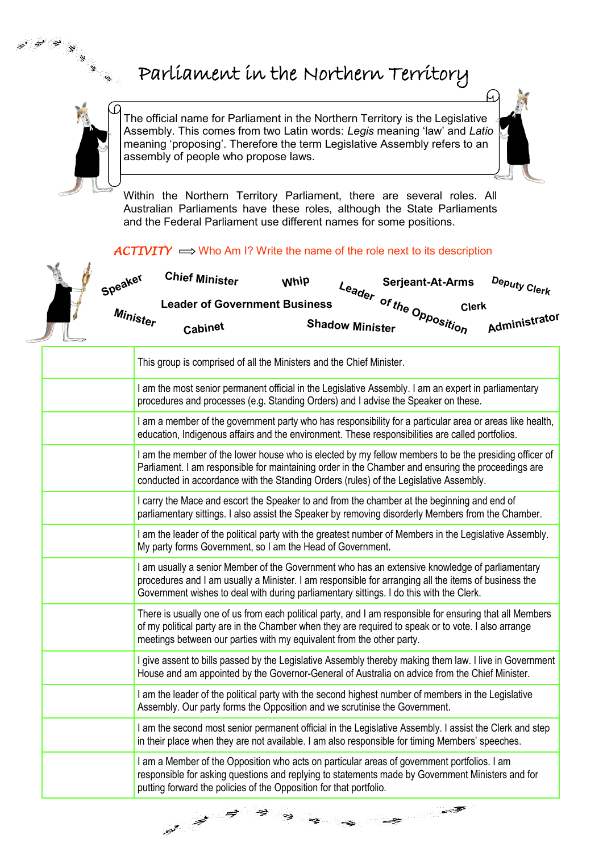

## Parliament in the Northern Territory

The official name for Parliament in the Northern Territory is the Legislative Assembly. This comes from two Latin words: *Legis* meaning 'law' and *Latio* meaning 'proposing'. Therefore the term Legislative Assembly refers to an assembly of people who propose laws.

Within the Northern Territory Parliament, there are several roles. All Australian Parliaments have these roles, although the State Parliaments and the Federal Parliament use different names for some positions.

## $\angle$ *ACTIVITY*  $\implies$  Who Am I? Write the name of the role next to its description



 $\vec{a}$